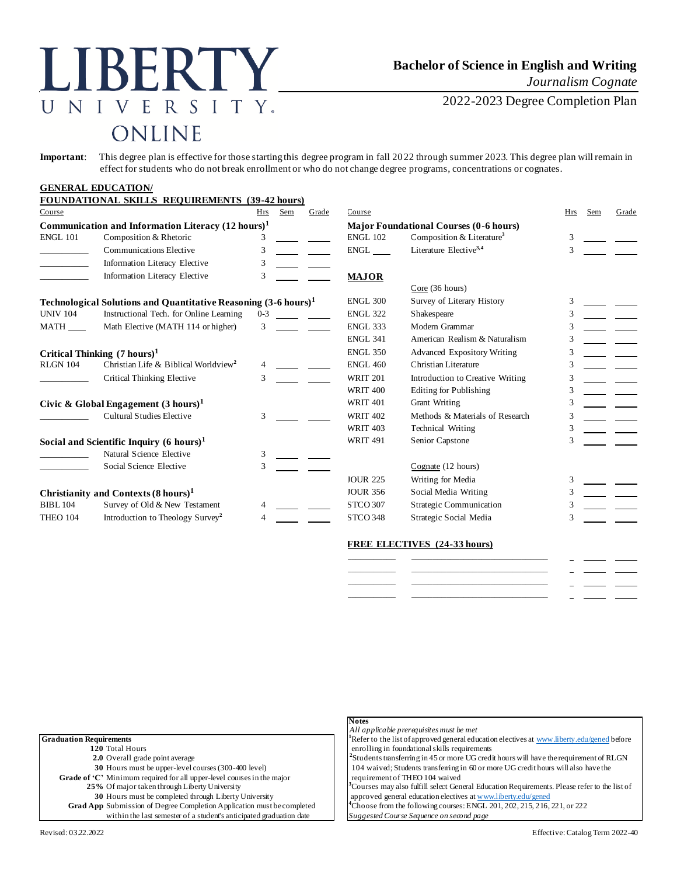# LIBERTY NIVERSITY.  $\overline{U}$ ONLINE

## **Bachelor of Science in English and Writing**

*Journalism Cognate*

2022-2023 Degree Completion Plan

**Important**: This degree plan is effective for those starting this degree program in fall 2022 through summer 2023. This degree plan will remain in effect for students who do not break enrollment or who do not change degree programs, concentrations or cognates.

#### **GENERAL EDUCATION/ FOUNDATION**<br>ANAL SIZILLS **REQUIREMENTS** (30-431 **hours)**

| Course                                                                                                     | FOUNDATIONAL SKILLS REQUIREMENTS (39-42 hours)                              | Hrs           | Sem             | Grade                              | Course          |                                               | Hrs | Sem | Grade |
|------------------------------------------------------------------------------------------------------------|-----------------------------------------------------------------------------|---------------|-----------------|------------------------------------|-----------------|-----------------------------------------------|-----|-----|-------|
|                                                                                                            |                                                                             |               |                 |                                    |                 |                                               |     |     |       |
| Communication and Information Literacy $(12 \text{ hours})^1$<br><b>ENGL 101</b><br>Composition & Rhetoric |                                                                             |               |                 |                                    | <b>ENGL 102</b> | <b>Major Foundational Courses (0-6 hours)</b> | 3   |     |       |
|                                                                                                            |                                                                             |               |                 |                                    |                 | Composition & Literature <sup>3</sup>         |     |     |       |
|                                                                                                            | <b>Communications Elective</b>                                              | 3             |                 |                                    | ENGL            | Literature Elective <sup>3,4</sup>            |     |     |       |
|                                                                                                            | <b>Information Literacy Elective</b>                                        | 3             |                 |                                    |                 |                                               |     |     |       |
|                                                                                                            | Information Literacy Elective                                               | 3             |                 |                                    | <b>MAJOR</b>    |                                               |     |     |       |
|                                                                                                            |                                                                             |               |                 |                                    |                 | Core (36 hours)                               |     |     |       |
|                                                                                                            | Technological Solutions and Quantitative Reasoning (3-6 hours) <sup>1</sup> |               |                 |                                    | <b>ENGL 300</b> | Survey of Literary History                    | 3   |     |       |
| <b>UNIV 104</b>                                                                                            | Instructional Tech. for Online Learning                                     | $0 - 3$       |                 |                                    | <b>ENGL 322</b> | Shakespeare                                   |     |     |       |
| MATH                                                                                                       | Math Elective (MATH 114 or higher)                                          | $\mathcal{F}$ |                 |                                    | <b>ENGL 333</b> | Modern Grammar                                |     |     |       |
|                                                                                                            |                                                                             |               |                 |                                    | <b>ENGL 341</b> | American Realism & Naturalism                 |     |     |       |
| Critical Thinking $(7 \text{ hours})^1$                                                                    |                                                                             |               | <b>ENGL 350</b> | <b>Advanced Expository Writing</b> |                 |                                               |     |     |       |
| <b>RLGN 104</b>                                                                                            | Christian Life & Biblical Worldview <sup>2</sup>                            |               |                 |                                    | <b>ENGL 460</b> | Christian Literature                          |     |     |       |
|                                                                                                            | Critical Thinking Elective                                                  |               |                 |                                    | <b>WRIT 201</b> | Introduction to Creative Writing              |     |     |       |
|                                                                                                            |                                                                             |               |                 |                                    | <b>WRIT 400</b> | <b>Editing for Publishing</b>                 |     |     |       |
| Civic & Global Engagement $(3 \text{ hours})^1$                                                            |                                                                             |               | <b>WRIT 401</b> | <b>Grant Writing</b>               |                 |                                               |     |     |       |
|                                                                                                            | Cultural Studies Elective                                                   | 3             |                 |                                    | <b>WRIT 402</b> | Methods & Materials of Research               |     |     |       |
|                                                                                                            |                                                                             |               |                 |                                    | <b>WRIT 403</b> | <b>Technical Writing</b>                      |     |     |       |
|                                                                                                            | Social and Scientific Inquiry $(6 \text{ hours})^1$                         |               |                 |                                    | <b>WRIT 491</b> | Senior Capstone                               |     |     |       |
|                                                                                                            | Natural Science Elective                                                    | 3             |                 |                                    |                 |                                               |     |     |       |
|                                                                                                            | Social Science Elective                                                     | $\mathcal{F}$ |                 |                                    |                 | Cognate (12 hours)                            |     |     |       |
|                                                                                                            |                                                                             |               |                 |                                    | <b>JOUR 225</b> | Writing for Media                             | 3   |     |       |
| Christianity and Contexts $(8 \text{ hours})^1$                                                            |                                                                             |               | <b>JOUR 356</b> | Social Media Writing               |                 |                                               |     |     |       |
| Survey of Old & New Testament<br><b>BIBL 104</b>                                                           |                                                                             |               | <b>STCO 307</b> | <b>Strategic Communication</b>     |                 |                                               |     |     |       |
| THEO 104                                                                                                   | Introduction to Theology Survey <sup>2</sup>                                |               |                 |                                    | <b>STCO 348</b> | Strategic Social Media                        |     |     |       |

### **FREE ELECTIVES (24-33 hours)**

|  | <b>Contract Contract Contract</b> |  |
|--|-----------------------------------|--|
|  | ______                            |  |
|  | $\sim$                            |  |

|                                                                               | <b>Notes</b><br>All applicable prerequisites must be met                                                 |
|-------------------------------------------------------------------------------|----------------------------------------------------------------------------------------------------------|
| <b>Graduation Requirements</b>                                                | <sup>1</sup> Refer to the list of approved general education electives at www.liberty.edu/general before |
| 120 Total Hours                                                               | enrolling in foundational skills requirements                                                            |
| <b>2.0</b> Overall grade point average                                        | <sup>2</sup> Students transferring in 45 or more UG credit hours will have the requirement of RLGN       |
| 30 Hours must be upper-level courses (300-400 level)                          | 104 waived; Students transferring in 60 or more UG credit hours will also have the                       |
| Grade of 'C' Minimum required for all upper-level courses in the major        | requirement of THEO 104 waived                                                                           |
| 25% Of major taken through Liberty University                                 | Courses may also fulfill select General Education Requirements. Please refer to the list of              |
| 30 Hours must be completed through Liberty University                         | approved general education electives at www.liberty.edu/gened                                            |
| <b>Grad App</b> Submission of Degree Completion Application must be completed | <sup>4</sup> Choose from the following courses: ENGL 201, 202, 215, 216, 221, or 222                     |
| within the last semester of a student's anticipated graduation date           | Suggested Course Sequence on second page                                                                 |